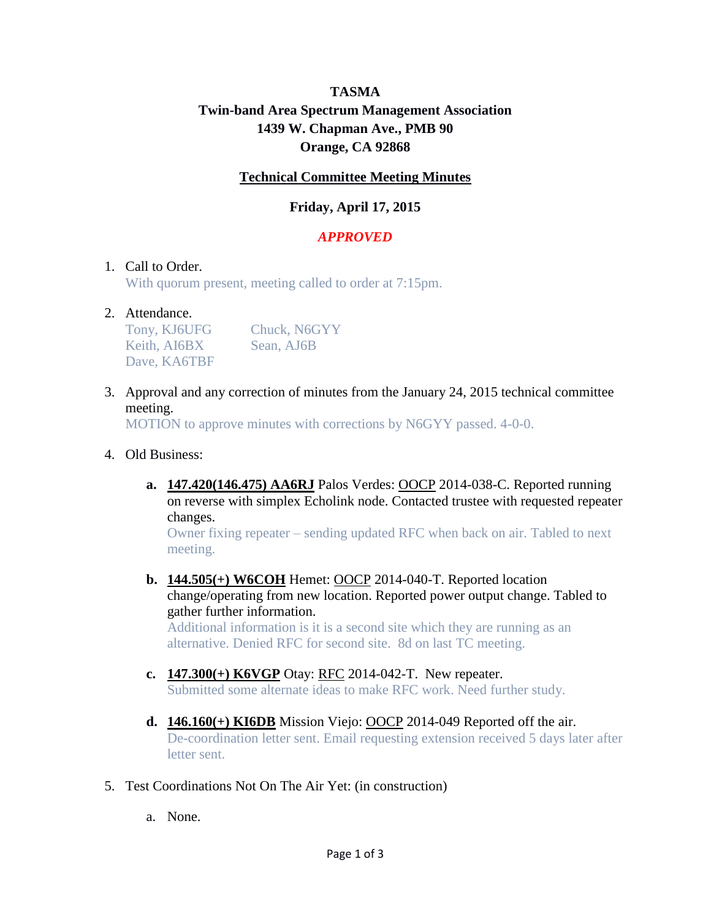# **TASMA Twin-band Area Spectrum Management Association 1439 W. Chapman Ave., PMB 90 Orange, CA 92868**

## **Technical Committee Meeting Minutes**

# **Friday, April 17, 2015**

## *APPROVED*

#### 1. Call to Order.

With quorum present, meeting called to order at 7:15pm.

#### 2. Attendance.

Tony, KJ6UFG Chuck, N6GYY Keith, AI6BX Sean, AJ6B Dave, KA6TBF

3. Approval and any correction of minutes from the January 24, 2015 technical committee meeting.

MOTION to approve minutes with corrections by N6GYY passed. 4-0-0.

#### 4. Old Business:

**a. 147.420(146.475) AA6RJ** Palos Verdes: OOCP 2014-038-C. Reported running on reverse with simplex Echolink node. Contacted trustee with requested repeater changes.

Owner fixing repeater – sending updated RFC when back on air. Tabled to next meeting.

**b. 144.505(+) W6COH** Hemet: OOCP 2014-040-T. Reported location change/operating from new location. Reported power output change. Tabled to gather further information.

Additional information is it is a second site which they are running as an alternative. Denied RFC for second site. 8d on last TC meeting.

- **c. 147.300(+) K6VGP** Otay: RFC 2014-042-T. New repeater. Submitted some alternate ideas to make RFC work. Need further study.
- **d. 146.160(+) KI6DB** Mission Viejo: OOCP 2014-049 Reported off the air. De-coordination letter sent. Email requesting extension received 5 days later after letter sent.
- 5. Test Coordinations Not On The Air Yet: (in construction)
	- a. None.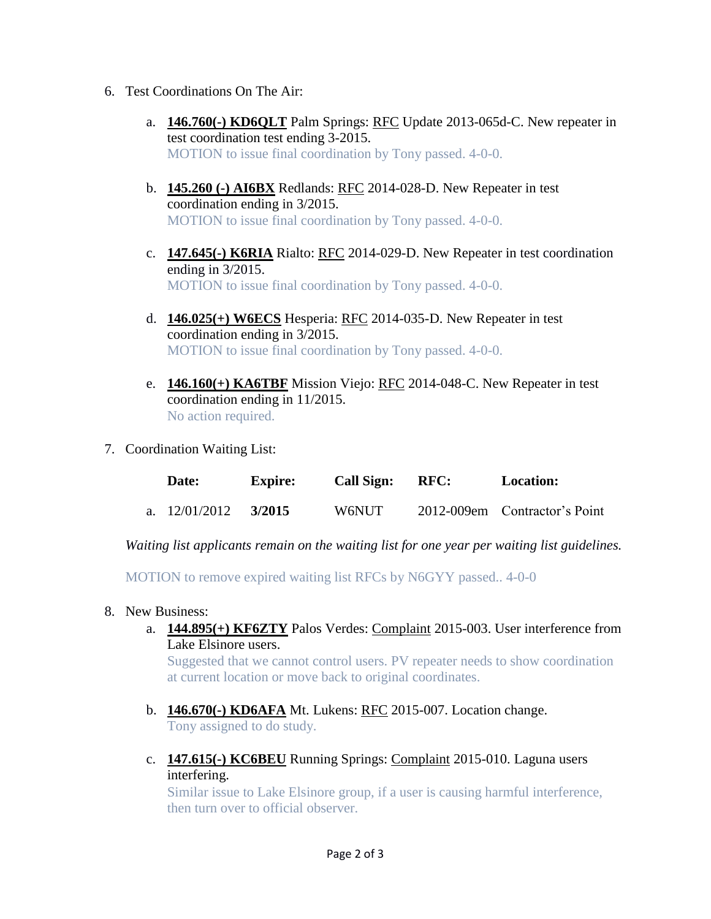- 6. Test Coordinations On The Air:
	- a. **146.760(-) KD6QLT** Palm Springs: RFC Update 2013-065d-C. New repeater in test coordination test ending 3-2015. MOTION to issue final coordination by Tony passed. 4-0-0.
	- b. **145.260 (-) AI6BX** Redlands: RFC 2014-028-D. New Repeater in test coordination ending in 3/2015. MOTION to issue final coordination by Tony passed. 4-0-0.
	- c. **147.645(-) K6RIA** Rialto: RFC 2014-029-D. New Repeater in test coordination ending in 3/2015. MOTION to issue final coordination by Tony passed. 4-0-0.
	- d. **146.025(+) W6ECS** Hesperia: RFC 2014-035-D. New Repeater in test coordination ending in 3/2015. MOTION to issue final coordination by Tony passed. 4-0-0.
	- e. **146.160(+) KA6TBF** Mission Viejo: RFC 2014-048-C. New Repeater in test coordination ending in 11/2015. No action required.
- 7. Coordination Waiting List:

|  | Date:                  | <b>Expire:</b> | <b>Call Sign:</b> | RFC: | <b>Location:</b>              |
|--|------------------------|----------------|-------------------|------|-------------------------------|
|  | a. $12/01/2012$ 3/2015 |                | W6NUT             |      | 2012-009em Contractor's Point |

*Waiting list applicants remain on the waiting list for one year per waiting list guidelines.*

MOTION to remove expired waiting list RFCs by N6GYY passed.. 4-0-0

- 8. New Business:
	- a. **144.895(+) KF6ZTY** Palos Verdes: Complaint 2015-003. User interference from Lake Elsinore users.

Suggested that we cannot control users. PV repeater needs to show coordination at current location or move back to original coordinates.

- b. **146.670(-) KD6AFA** Mt. Lukens: RFC 2015-007. Location change. Tony assigned to do study.
- c. **147.615(-) KC6BEU** Running Springs: Complaint 2015-010. Laguna users interfering.

Similar issue to Lake Elsinore group, if a user is causing harmful interference, then turn over to official observer.